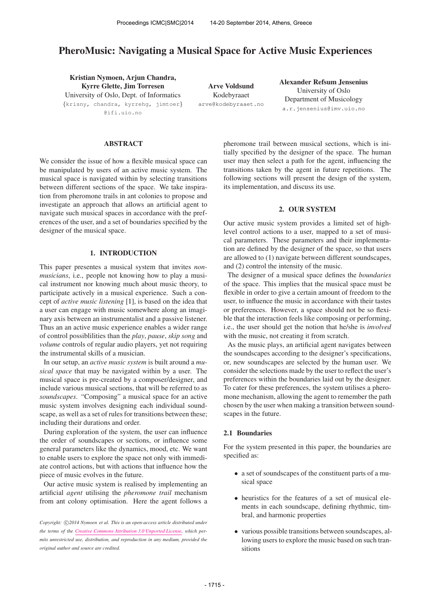# PheroMusic: Navigating a Musical Space for Active Music Experiences

Kristian Nymoen, Arjun Chandra, Kyrre Glette, Jim Torresen University of Oslo, Dept. of Informatics {krisny, chandra, kyrrehg, jimtoer} @ifi.uio.no

Arve Voldsund Kodebyraaet [arve@kodebyraaet.no](mailto:arve@kodebyraaet.no) Alexander Refsum Jensenius University of Oslo Department of Musicology [a.r.jensenius@imv.uio.no](mailto:a.r.jensenius@imv.uio.no)

## ABSTRACT

We consider the issue of how a flexible musical space can be manipulated by users of an active music system. The musical space is navigated within by selecting transitions between different sections of the space. We take inspiration from pheromone trails in ant colonies to propose and investigate an approach that allows an artificial agent to navigate such musical spaces in accordance with the preferences of the user, and a set of boundaries specified by the designer of the musical space.

# 1. INTRODUCTION

This paper presentes a musical system that invites *nonmusicians*, i.e., people not knowing how to play a musical instrument nor knowing much about music theory, to participate actively in a musical experience. Such a concept of *active music listening* [1], is based on the idea that a user can engage with music somewhere along an imaginary axis between an instrumentalist and a passive listener. Thus an an active music experience enables a wider range of control possiblilities than the *play*, *pause*, *skip song* and *volume* controls of regular audio players, yet not requiring the instrumental skills of a musician.

In our setup, an *active music system* is built around a *musical space* that may be navigated within by a user. The musical space is pre-created by a composer/designer, and include various musical sections, that will be referred to as *soundscapes*. "Composing" a musical space for an active music system involves designing each individual soundscape, as well as a set of rules for transitions between these; including their durations and order.

During exploration of the system, the user can influence the order of soundscapes or sections, or influence some general parameters like the dynamics, mood, etc. We want to enable users to explore the space not only with immediate control actions, but with actions that influence how the piece of music evolves in the future.

Our active music system is realised by implementing an artificial *agent* utilising the *pheromone trail* mechanism from ant colony optimisation. Here the agent follows a pheromone trail between musical sections, which is initially specified by the designer of the space. The human user may then select a path for the agent, influencing the transitions taken by the agent in future repetitions. The following sections will present the design of the system, its implementation, and discuss its use.

# 2. OUR SYSTEM

Our active music system provides a limited set of highlevel control actions to a user, mapped to a set of musical parameters. These parameters and their implementation are defined by the designer of the space, so that users are allowed to (1) navigate between different soundscapes, and (2) control the intensity of the music.

The designer of a musical space defines the *boundaries* of the space. This implies that the musical space must be flexible in order to give a certain amount of freedom to the user, to influence the music in accordance with their tastes or preferences. However, a space should not be so flexible that the interaction feels like composing or performing, i.e., the user should get the notion that he/she is *involved* with the music, not creating it from scratch.

As the music plays, an artificial agent navigates between the soundscapes according to the designer's specifications, or, new soundscapes are selected by the human user. We consider the selections made by the user to reflect the user's preferences within the boundaries laid out by the designer. To cater for these preferences, the system utilises a pheromone mechanism, allowing the agent to remember the path chosen by the user when making a transition between soundscapes in the future.

## 2.1 Boundaries

For the system presented in this paper, the boundaries are specified as:

- a set of soundscapes of the constituent parts of a musical space
- heuristics for the features of a set of musical elements in each soundscape, defining rhythmic, timbral, and harmonic properties
- various possible transitions between soundscapes, allowing users to explore the music based on such transitions

Copyright:  $\bigcirc$ 2014 Nymoen et al. This is an open-access article distributed under *the terms of the [Creative Commons Attribution 3.0 Unported License,](http://creativecommons.org/licenses/by/3.0/) which permits unrestricted use, distribution, and reproduction in any medium, provided the original author and source are credited.*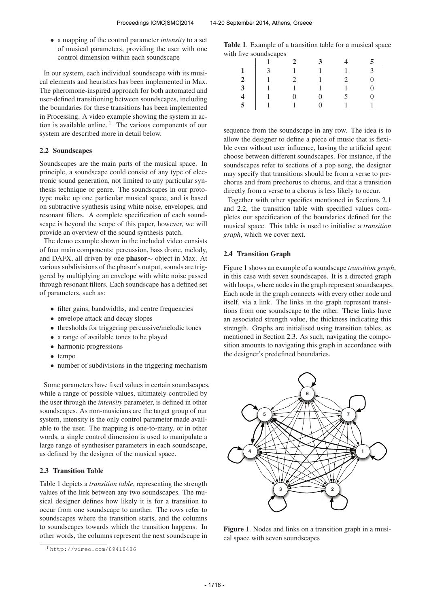• a mapping of the control parameter *intensity* to a set of musical parameters, providing the user with one control dimension within each soundscape

In our system, each individual soundscape with its musical elements and heuristics has been implemented in Max. The pheromone-inspired approach for both automated and user-defined transitioning between soundscapes, including the boundaries for these transitions has been implemented in Processing. A video example showing the system in action is available online.<sup>1</sup> The various components of our system are described more in detail below.

## 2.2 Soundscapes

Soundscapes are the main parts of the musical space. In principle, a soundscape could consist of any type of electronic sound generation, not limited to any particular synthesis technique or genre. The soundscapes in our prototype make up one particular musical space, and is based on subtractive synthesis using white noise, envelopes, and resonant filters. A complete specification of each soundscape is beyond the scope of this paper, however, we will provide an overview of the sound synthesis patch.

The demo example shown in the included video consists of four main components: percussion, bass drone, melody, and DAFX, all driven by one phasor∼ object in Max. At various subdivisions of the phasor's output, sounds are triggered by multiplying an envelope with white noise passed through resonant filters. Each soundscape has a defined set of parameters, such as:

- filter gains, bandwidths, and centre frequencies
- envelope attack and decay slopes
- thresholds for triggering percussive/melodic tones
- a range of available tones to be played
- harmonic progressions
- tempo
- number of subdivisions in the triggering mechanism

Some parameters have fixed values in certain soundscapes, while a range of possible values, ultimately controlled by the user through the *intensity* parameter, is defined in other soundscapes. As non-musicians are the target group of our system, intensity is the only control parameter made available to the user. The mapping is one-to-many, or in other words, a single control dimension is used to manipulate a large range of synthesiser parameters in each soundscape, as defined by the designer of the musical space.

# 2.3 Transition Table

Table 1 depicts a *transition table*, representing the strength values of the link between any two soundscapes. The musical designer defines how likely it is for a transition to occur from one soundscape to another. The rows refer to soundscapes where the transition starts, and the columns to soundscapes towards which the transition happens. In other words, the columns represent the next soundscape in

Table 1. Example of a transition table for a musical space with five soundscapes

|                         | -                       | $\overline{2}$ | $\mathbf{3}$ |   |
|-------------------------|-------------------------|----------------|--------------|---|
|                         | $\overline{\mathbf{3}}$ | $-1$           | $-1$         | 3 |
| $\mathbf{2}$            |                         | $\overline{2}$ |              |   |
| 3 <sup>7</sup>          |                         |                |              |   |
| $\overline{\mathbf{4}}$ |                         | $\Omega$       |              |   |
| 5 <sup>1</sup>          | $\overline{1}$          |                |              |   |

sequence from the soundscape in any row. The idea is to allow the designer to define a piece of music that is flexible even without user influence, having the artificial agent choose between different soundscapes. For instance, if the soundscapes refer to sections of a pop song, the designer may specify that transitions should be from a verse to prechorus and from prechorus to chorus, and that a transition directly from a verse to a chorus is less likely to occur.

Together with other specifics mentioned in Sections 2.1 and 2.2, the transition table with specified values completes our specification of the boundaries defined for the musical space. This table is used to initialise a *transition graph*, which we cover next.

#### 2.4 Transition Graph

Figure 1 shows an example of a soundscape *transition graph*, in this case with seven soundscapes. It is a directed graph with loops, where nodes in the graph represent soundscapes. Each node in the graph connects with every other node and itself, via a link. The links in the graph represent transitions from one soundscape to the other. These links have an associated strength value, the thickness indicating this strength. Graphs are initialised using transition tables, as mentioned in Section 2.3. As such, navigating the composition amounts to navigating this graph in accordance with the designer's predefined boundaries.



Figure 1. Nodes and links on a transition graph in a musical space with seven soundscapes

<sup>1</sup> <http://vimeo.com/89418486>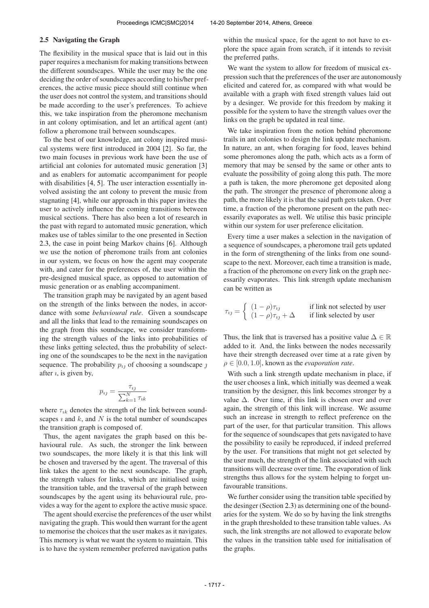#### 2.5 Navigating the Graph

The flexibility in the musical space that is laid out in this paper requires a mechanism for making transitions between the different soundscapes. While the user may be the one deciding the order of soundscapes according to his/her preferences, the active music piece should still continue when the user does not control the system, and transitions should be made according to the user's preferences. To achieve this, we take inspiration from the pheromone mechanism in ant colony optimisation, and let an artifical agent (ant) follow a pheromone trail between soundscapes.

To the best of our knowledge, ant colony inspired musical systems were first introduced in 2004 [2]. So far, the two main focuses in previous work have been the use of artificial ant colonies for automated music generation [3] and as enablers for automatic accompaniment for people with disabilities [4, 5]. The user interaction essentially involved assisting the ant colony to prevent the music from stagnating [4], while our approach in this paper invites the user to actively influence the coming transitions between musical sections. There has also been a lot of research in the past with regard to automated music generation, which makes use of tables similar to the one presented in Section 2.3, the case in point being Markov chains [6]. Although we use the notion of pheromone trails from ant colonies in our system, we focus on how the agent may cooperate with, and cater for the preferences of, the user within the pre-designed musical space, as opposed to automation of music generation or as enabling accompaniment.

The transition graph may be navigated by an agent based on the strength of the links between the nodes, in accordance with some *behavioural rule*. Given a soundscape and all the links that lead to the remaining soundscapes on the graph from this soundscape, we consider transforming the strength values of the links into probabilities of these links getting selected, thus the probability of selecting one of the soundscapes to be the next in the navigation sequence. The probability  $p_{ij}$  of choosing a soundscape  $j$ after  $i$ , is given by,

$$
p_{ij} = \frac{\tau_{ij}}{\sum_{k=1}^{N} \tau_{ik}}
$$

where  $\tau_{ik}$  denotes the strength of the link between soundscapes  $\imath$  and  $k$ , and  $N$  is the total number of soundscapes the transition graph is composed of.

Thus, the agent navigates the graph based on this behavioural rule. As such, the stronger the link between two soundscapes, the more likely it is that this link will be chosen and traversed by the agent. The traversal of this link takes the agent to the next soundscape. The graph, the strength values for links, which are initialised using the transition table, and the traversal of the graph between soundscapes by the agent using its behavioural rule, provides a way for the agent to explore the active music space.

The agent should exercise the preferences of the user whilst navigating the graph. This would then warrant for the agent to memorise the choices that the user makes as it navigates. This memory is what we want the system to maintain. This is to have the system remember preferred navigation paths

within the musical space, for the agent to not have to explore the space again from scratch, if it intends to revisit the preferred paths.

We want the system to allow for freedom of musical expression such that the preferences of the user are autonomously elicited and catered for, as compared with what would be available with a graph with fixed strength values laid out by a desinger. We provide for this freedom by making it possible for the system to have the strength values over the links on the graph be updated in real time.

We take inspiration from the notion behind pheromone trails in ant colonies to design the link update mechanism. In nature, an ant, when foraging for food, leaves behind some pheromones along the path, which acts as a form of memory that may be sensed by the same or other ants to evaluate the possibility of going along this path. The more a path is taken, the more pheromone get deposited along the path. The stronger the presence of pheromone along a path, the more likely it is that the said path gets taken. Over time, a fraction of the pheromone present on the path necessarily evaporates as well. We utilise this basic principle within our system for user preference elicitation.

Every time a user makes a selection in the navigation of a sequence of soundscapes, a pheromone trail gets updated in the form of strengthening of the links from one soundscape to the next. Moreover, each time a transition is made, a fraction of the pheromone on every link on the graph necessarily evaporates. This link strength update mechanism can be written as

$$
\tau_{ij} = \begin{cases}\n(1 - \rho)\tau_{ij} & \text{if link not selected by user} \\
(1 - \rho)\tau_{ij} + \Delta & \text{if link selected by user}\n\end{cases}
$$

Thus, the link that is traversed has a positive value  $\Delta \in \mathbb{R}$ added to it. And, the links between the nodes necessarily have their strength decreased over time at a rate given by  $\rho \in [0.0, 1.0]$ , known as the *evaporation rate*.

With such a link strength update mechanism in place, if the user chooses a link, which initially was deemed a weak transition by the designer, this link becomes stronger by a value  $\Delta$ . Over time, if this link is chosen over and over again, the strength of this link will increase. We assume such an increase in strength to reflect preference on the part of the user, for that particular transition. This allows for the sequence of soundscapes that gets navigated to have the possibility to easily be reproduced, if indeed preferred by the user. For transitions that might not get selected by the user much, the strength of the link associated with such transitions will decrease over time. The evaporation of link strengths thus allows for the system helping to forget unfavourable transitions.

We further consider using the transition table specified by the desinger (Section 2.3) as determining one of the boundaries for the system. We do so by having the link strengths in the graph thresholded to these transition table values. As such, the link strengths are not allowed to evaporate below the values in the transition table used for initialisation of the graphs.